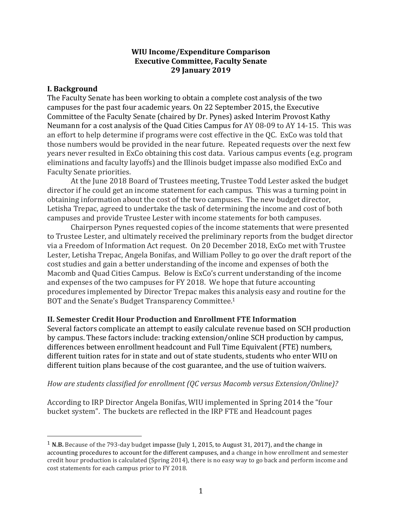#### **WIU Income/Expenditure Comparison Executive Committee, Faculty Senate 29 January\$2019**

#### **I. Background**

!!!!!!!!!!!!!!!!!!!!!!!!!!!!!!!!!!!!!!!!!!!!!!!!!!!!!!!

The Faculty Senate has been working to obtain a complete cost analysis of the two campuses for the past four academic years. On 22 September 2015, the Executive Committee of the Faculty Senate (chaired by Dr. Pynes) asked Interim Provost Kathy Neumann for a cost analysis of the Quad Cities Campus for AY 08-09 to AY 14-15. This was an effort to help determine if programs were cost effective in the QC. ExCo was told that those numbers would be provided in the near future. Repeated requests over the next few years never resulted in ExCo obtaining this cost data. Various campus events (e.g. program eliminations and faculty layoffs) and the Illinois budget impasse also modified ExCo and Faculty Senate priorities.

At the June 2018 Board of Trustees meeting, Trustee Todd Lester asked the budget director if he could get an income statement for each campus. This was a turning point in obtaining information about the cost of the two campuses. The new budget director, Letisha Trepac, agreed to undertake the task of determining the income and cost of both campuses and provide Trustee Lester with income statements for both campuses.

Chairperson Pynes requested copies of the income statements that were presented to Trustee Lester, and ultimately received the preliminary reports from the budget director via a Freedom of Information Act request. On 20 December 2018, ExCo met with Trustee Lester, Letisha Trepac, Angela Bonifas, and William Polley to go over the draft report of the cost studies and gain a better understanding of the income and expenses of both the Macomb and Quad Cities Campus. Below is ExCo's current understanding of the income and expenses of the two campuses for FY 2018. We hope that future accounting procedures implemented by Director Trepac makes this analysis easy and routine for the BOT and the Senate's Budget Transparency Committee.<sup>1</sup>

#### **II.\$Semester\$Credit\$Hour\$Production and\$Enrollment\$FTE\$Information**

Several factors complicate an attempt to easily calculate revenue based on SCH production by campus. These factors include: tracking extension/online SCH production by campus, differences between enrollment headcount and Full Time Equivalent (FTE) numbers, different tuition rates for in state and out of state students, students who enter WIU on different tuition plans because of the cost guarantee, and the use of tuition waivers.

#### *How are students classified for enrollment (QC versus Macomb versus Extension/Online)?*

According to IRP Director Angela Bonifas, WIU implemented in Spring 2014 the "four" bucket system". The buckets are reflected in the IRP FTE and Headcount pages

 $1$  **N.B.** Because of the 793-day budget impasse (July 1, 2015, to August 31, 2017), and the change in accounting procedures to account for the different campuses, and a change in how enrollment and semester credit hour production is calculated (Spring 2014), there is no easy way to go back and perform income and cost statements for each campus prior to FY 2018.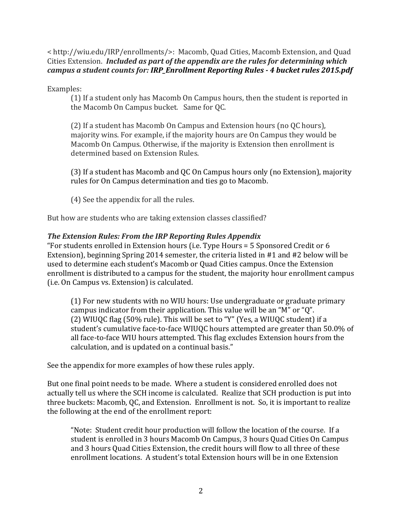< http://wiu.edu/IRP/enrollments/>:!!Macomb,!Quad!Cities,!Macomb!Extension,!and!Quad! Cities Extension. *Included as part of the appendix are the rules for determining which campus a student counts for: IRP\_Enrollment Reporting Rules - 4 bucket rules 2015.pdf* 

Examples:

 $(1)$  If a student only has Macomb On Campus hours, then the student is reported in the Macomb On Campus bucket. Same for QC.

(2) If a student has Macomb On Campus and Extension hours (no  $\overline{OC}$  hours), majority wins. For example, if the majority hours are On Campus they would be Macomb On Campus. Otherwise, if the majority is Extension then enrollment is determined based on Extension Rules.

(3) If a student has Macomb and QC On Campus hours only (no Extension), majority rules for On Campus determination and ties go to Macomb.

(4) See the appendix for all the rules.

But how are students who are taking extension classes classified?

### *The Extension Rules: From the IRP Reporting Rules Appendix*

"For students enrolled in Extension hours (i.e. Type Hours  $=$  5 Sponsored Credit or 6 Extension), beginning Spring 2014 semester, the criteria listed in  $#1$  and  $#2$  below will be used to determine each student's Macomb or Quad Cities campus. Once the Extension enrollment is distributed to a campus for the student, the majority hour enrollment campus (i.e. On Campus vs. Extension) is calculated.

(1) For new students with no WIU hours: Use undergraduate or graduate primary campus indicator from their application. This value will be an "M" or "Q". (2) WIUQC flag (50% rule). This will be set to "Y" (Yes, a WIUQC student) if a student's cumulative face-to-face WIUOC hours attempted are greater than 50.0% of all face-to-face WIU hours attempted. This flag excludes Extension hours from the calculation, and is updated on a continual basis."

See the appendix for more examples of how these rules apply.

But one final point needs to be made. Where a student is considered enrolled does not actually tell us where the SCH income is calculated. Realize that SCH production is put into three buckets: Macomb, QC, and Extension. Enrollment is not. So, it is important to realize the following at the end of the enrollment report:

"Note: Student credit hour production will follow the location of the course. If a student is enrolled in 3 hours Macomb On Campus, 3 hours Quad Cities On Campus and 3 hours Quad Cities Extension, the credit hours will flow to all three of these enrollment locations. A student's total Extension hours will be in one Extension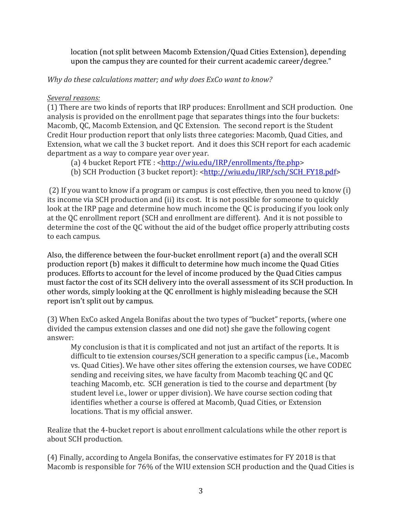location (not split between Macomb Extension/Quad Cities Extension), depending upon the campus they are counted for their current academic career/degree."

*Why do these calculations matter; and why does ExCo want to know?* 

### Several reasons:

(1) There are two kinds of reports that IRP produces: Enrollment and SCH production. One analysis is provided on the enrollment page that separates things into the four buckets: Macomb, QC, Macomb Extension, and QC Extension. The second report is the Student Credit Hour production report that only lists three categories: Macomb, Quad Cities, and Extension, what we call the 3 bucket report. And it does this SCH report for each academic department as a way to compare year over year.

(a) 4 bucket Report FTE: <http://wiu.edu/IRP/enrollments/fte.php>

(b) SCH Production (3 bucket report): <http://wiu.edu/IRP/sch/SCH\_FY18.pdf>

(2) If you want to know if a program or campus is cost effective, then you need to know (i) its income via SCH production and (ii) its cost. It is not possible for someone to quickly look at the IRP page and determine how much income the QC is producing if you look only at the QC enrollment report (SCH and enrollment are different). And it is not possible to determine the cost of the QC without the aid of the budget office properly attributing costs to each campus.

Also, the difference between the four-bucket enrollment report (a) and the overall SCH production report (b) makes it difficult to determine how much income the Quad Cities produces. Efforts to account for the level of income produced by the Quad Cities campus must factor the cost of its SCH delivery into the overall assessment of its SCH production. In other words, simply looking at the QC enrollment is highly misleading because the SCH report isn't split out by campus.

(3) When ExCo asked Angela Bonifas about the two types of "bucket" reports, (where one divided the campus extension classes and one did not) she gave the following cogent answer:

My conclusion is that it is complicated and not just an artifact of the reports. It is difficult to tie extension courses/SCH generation to a specific campus (i.e., Macomb vs. Quad Cities). We have other sites offering the extension courses, we have CODEC sending and receiving sites, we have faculty from Macomb teaching QC and QC teaching Macomb, etc. SCH generation is tied to the course and department (by student level i.e., lower or upper division). We have course section coding that identifies whether a course is offered at Macomb, Quad Cities, or Extension locations. That is my official answer.

Realize that the 4-bucket report is about enrollment calculations while the other report is about SCH production.

(4) Finally, according to Angela Bonifas, the conservative estimates for FY 2018 is that Macomb is responsible for 76% of the WIU extension SCH production and the Quad Cities is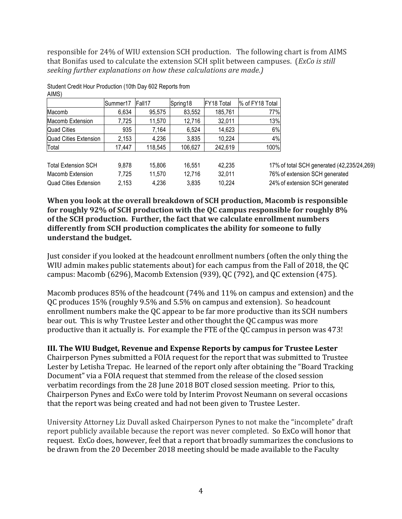responsible for 24% of WIU extension SCH production. The following chart is from AIMS that Bonifas used to calculate the extension SCH split between campuses. (*ExCo is still seeking further explanations on how these calculations are made.)* 

| $\overline{\phantom{a}}$   |          |         |          |            |                 |                                            |
|----------------------------|----------|---------|----------|------------|-----------------|--------------------------------------------|
|                            | Summer17 | Fall17  | Spring18 | FY18 Total | % of FY18 Total |                                            |
| Macomb                     | 6.634    | 95.575  | 83,552   | 185,761    | 77%             |                                            |
| Macomb Extension           | 7.725    | 11.570  | 12.716   | 32.011     | 13%             |                                            |
| Quad Cities                | 935      | 7.164   | 6.524    | 14,623     | 6%              |                                            |
| Quad Cities Extension      | 2,153    | 4,236   | 3,835    | 10.224     | 4%              |                                            |
| Total                      | 17,447   | 118,545 | 106,627  | 242,619    | 100%            |                                            |
| <b>Total Extension SCH</b> | 9.878    | 15,806  | 16.551   | 42.235     |                 | 17% of total SCH generated (42,235/24,269) |
| Macomb Extension           | 7.725    | 11.570  | 12.716   | 32,011     |                 | 76% of extension SCH generated             |

Student Credit Hour Production (10th Day 602 Reports from AIMS)

Quad Cities Extension 2,153 4,236 3,835 10,224 24% of extension SCH generated **When you look at the overall breakdown of SCH production, Macomb is responsible** for roughly 92% of SCH production with the QC campus responsible for roughly 8% of the SCH production. Further, the fact that we calculate enrollment numbers differently from SCH production complicates the ability for someone to fully

#### **understand the budget.**

Just consider if you looked at the headcount enrollment numbers (often the only thing the WIU admin makes public statements about) for each campus from the Fall of 2018, the QC campus: Macomb (6296), Macomb Extension (939), QC (792), and QC extension (475).

Macomb produces  $85\%$  of the headcount (74% and  $11\%$  on campus and extension) and the QC produces 15% (roughly 9.5% and 5.5% on campus and extension). So headcount enrollment numbers make the QC appear to be far more productive than its SCH numbers bear out. This is why Trustee Lester and other thought the QC campus was more productive than it actually is. For example the FTE of the QC campus in person was  $473!$ 

### **III. The WIU Budget, Revenue and Expense Reports by campus for Trustee Lester**

Chairperson Pynes submitted a FOIA request for the report that was submitted to Trustee Lester by Letisha Trepac. He learned of the report only after obtaining the "Board Tracking" Document" via a FOIA request that stemmed from the release of the closed session verbatim recordings from the 28 June 2018 BOT closed session meeting. Prior to this, Chairperson Pynes and ExCo were told by Interim Provost Neumann on several occasions that the report was being created and had not been given to Trustee Lester.

University Attorney Liz Duvall asked Chairperson Pynes to not make the "incomplete" draft report publicly available because the report was never completed. So ExCo will honor that request. ExCo does, however, feel that a report that broadly summarizes the conclusions to be drawn from the 20 December 2018 meeting should be made available to the Faculty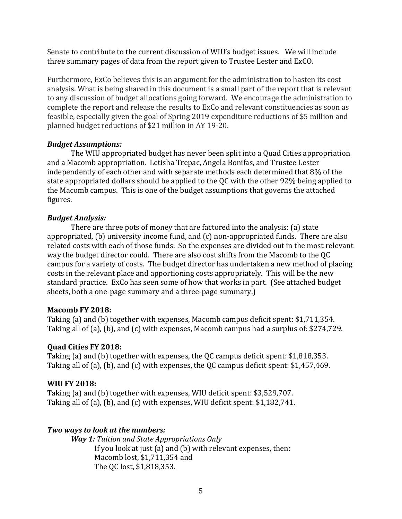Senate to contribute to the current discussion of WIU's budget issues. We will include three summary pages of data from the report given to Trustee Lester and ExCO.

Furthermore, ExCo believes this is an argument for the administration to hasten its cost analysis. What is being shared in this document is a small part of the report that is relevant to any discussion of budget allocations going forward. We encourage the administration to complete the report and release the results to ExCo and relevant constituencies as soon as feasible, especially given the goal of Spring 2019 expenditure reductions of \$5 million and planned budget reductions of \$21 million in AY 19-20.

### **Budget Assumptions:**

The WIU appropriated budget has never been split into a Quad Cities appropriation and a Macomb appropriation. Letisha Trepac, Angela Bonifas, and Trustee Lester independently of each other and with separate methods each determined that 8% of the state appropriated dollars should be applied to the OC with the other 92% being applied to the Macomb campus. This is one of the budget assumptions that governs the attached figures.

#### *Budget Analysis:*

There are three pots of money that are factored into the analysis: (a) state appropriated, (b) university income fund, and  $(c)$  non-appropriated funds. There are also related costs with each of those funds. So the expenses are divided out in the most relevant way the budget director could. There are also cost shifts from the Macomb to the QC campus for a variety of costs. The budget director has undertaken a new method of placing costs in the relevant place and apportioning costs appropriately. This will be the new standard practice. ExCo has seen some of how that works in part. (See attached budget sheets, both a one-page summary and a three-page summary.)

#### **Macomb FY 2018:**

Taking (a) and (b) together with expenses, Macomb campus deficit spent:  $$1,711,354$ . Taking all of (a), (b), and (c) with expenses, Macomb campus had a surplus of: \$274,729.

### **Quad Cities FY 2018:**

Taking (a) and (b) together with expenses, the QC campus deficit spent:  $$1,818,353$ . Taking all of (a), (b), and (c) with expenses, the QC campus deficit spent:  $$1,457,469$ .

### **WIU FY 2018:**

Taking (a) and (b) together with expenses, WIU deficit spent: \$3,529,707. Taking all of (a), (b), and (c) with expenses, WIU deficit spent:  $$1,182,741$ .

### *Two ways to look at the numbers:*

*Way 1: Tuition and State Appropriations Only* If you look at just (a) and (b) with relevant expenses, then: Macomb lost, \$1,711,354 and The QC lost, \$1,818,353.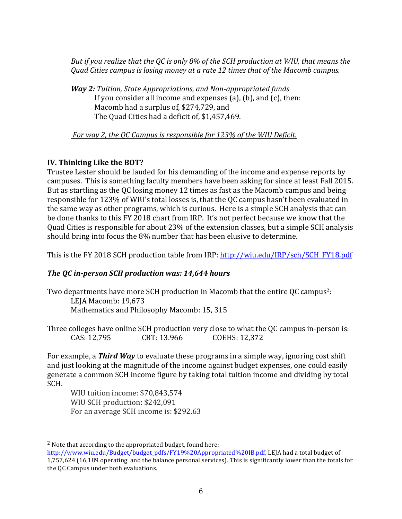*But if you realize that the QC is only 8% of the SCH production at WIU, that means the Quad Cities campus is losing money at a rate 12 times that of the Macomb campus.* 

*Way 2: Tuition, State Appropriations, and Non-appropriated funds* If you consider all income and expenses (a), (b), and  $(c)$ , then: Macomb had a surplus of, \$274,729, and The Quad Cities had a deficit of, \$1,457,469.

*For way 2, the QC Campus is responsible for 123% of the WIU Deficit.* 

## **IV.** Thinking Like the BOT?

Trustee Lester should be lauded for his demanding of the income and expense reports by campuses. This is something faculty members have been asking for since at least Fall 2015. But as startling as the QC losing money 12 times as fast as the Macomb campus and being responsible for 123% of WIU's total losses is, that the QC campus hasn't been evaluated in the same way as other programs, which is curious. Here is a simple SCH analysis that can be done thanks to this FY 2018 chart from IRP. It's not perfect because we know that the Quad Cities is responsible for about 23% of the extension classes, but a simple SCH analysis should bring into focus the 8% number that has been elusive to determine.

This is the FY 2018 SCH production table from IRP: http://wiu.edu/IRP/sch/SCH\_FY18.pdf

# *The QC in-person SCH production was: 14,644 hours*

Two departments have more SCH production in Macomb that the entire QC campus<sup>2</sup>: LEJA Macomb: 19,673 Mathematics and Philosophy Macomb: 15, 315

Three colleges have online SCH production very close to what the QC campus in-person is: CAS: 12,795 CBT: 13.966 COEHS: 12,372

For example, a *Third Way* to evaluate these programs in a simple way, ignoring cost shift and just looking at the magnitude of the income against budget expenses, one could easily generate a common SCH income figure by taking total tuition income and dividing by total SCH.

WIU tuition income: \$70,843,574 WIU SCH production: \$242,091 For an average SCH income is: \$292.63

!!!!!!!!!!!!!!!!!!!!!!!!!!!!!!!!!!!!!!!!!!!!!!!!!!!!!!!

 $2$  Note that according to the appropriated budget, found here:

http://www.wiu.edu/Budget/budget\_pdfs/FY19%20Appropriated%20IB.pdf, LEJA had a total budget of 1,757,624 (16,189 operating and the balance personal services). This is significantly lower than the totals for the QC Campus under both evaluations.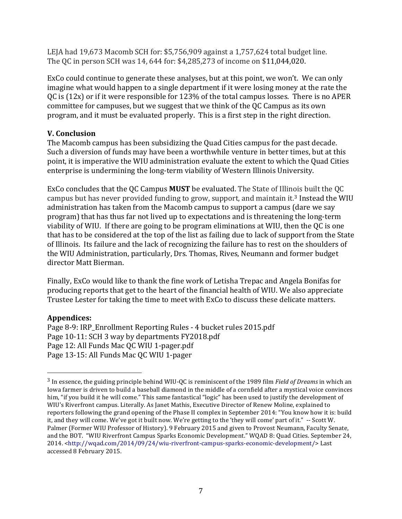LEJA had 19,673 Macomb SCH for:  $$5,756,909$  against a 1,757,624 total budget line. The QC in person SCH was 14, 644 for: \$4,285,273 of income on \$11,044,020.

ExCo could continue to generate these analyses, but at this point, we won't. We can only imagine what would happen to a single department if it were losing money at the rate the QC is  $(12x)$  or if it were responsible for  $123%$  of the total campus losses. There is no APER committee for campuses, but we suggest that we think of the QC Campus as its own program, and it must be evaluated properly. This is a first step in the right direction.

### **V.** Conclusion

The Macomb campus has been subsidizing the Quad Cities campus for the past decade. Such a diversion of funds may have been a worthwhile venture in better times, but at this point, it is imperative the WIU administration evaluate the extent to which the Quad Cities enterprise is undermining the long-term viability of Western Illinois University.

ExCo concludes that the QC Campus **MUST** be evaluated. The State of Illinois built the QC campus but has never provided funding to grow, support, and maintain it.<sup>3</sup> Instead the WIU administration has taken from the Macomb campus to support a campus (dare we say program) that has thus far not lived up to expectations and is threatening the long-term viability of WIU. If there are going to be program eliminations at WIU, then the QC is one that has to be considered at the top of the list as failing due to lack of support from the State of Illinois. Its failure and the lack of recognizing the failure has to rest on the shoulders of the WIU Administration, particularly, Drs. Thomas, Rives, Neumann and former budget director Matt Bierman.

Finally, ExCo would like to thank the fine work of Letisha Trepac and Angela Bonifas for producing reports that get to the heart of the financial health of WIU. We also appreciate Trustee Lester for taking the time to meet with ExCo to discuss these delicate matters.

### **Appendices:**

!!!!!!!!!!!!!!!!!!!!!!!!!!!!!!!!!!!!!!!!!!!!!!!!!!!!!!!

Page 8-9: IRP\_Enrollment Reporting Rules - 4 bucket rules 2015.pdf Page 10-11: SCH 3 way by departments FY2018.pdf Page 12: All Funds Mac OC WIU 1-pager.pdf Page 13-15: All Funds Mac OC WIU 1-pager

<sup>&</sup>lt;sup>3</sup> In essence, the guiding principle behind WIU-QC is reminiscent of the 1989 film *Field of Dreams* in which an Iowa farmer is driven to build a baseball diamond in the middle of a cornfield after a mystical voice convinces him, "if you build it he will come." This same fantastical "logic" has been used to justify the development of WIU's Riverfront campus. Literally. As Janet Mathis, Executive Director of Renew Moline, explained to reporters following the grand opening of the Phase II complex in September 2014: "You know how it is: build it, and they will come. We've got it built now. We're getting to the 'they will come' part of it." -- Scott W. Palmer (Former WIU Professor of History). 9 February 2015 and given to Provost Neumann, Faculty Senate, and the BOT. "WIU Riverfront Campus Sparks Economic Development." WQAD 8: Quad Cities. September 24, 2014. <http://wqad.com/2014/09/24/wiu-riverfront-campus-sparks-economic-development/>Last accessed 8 February 2015.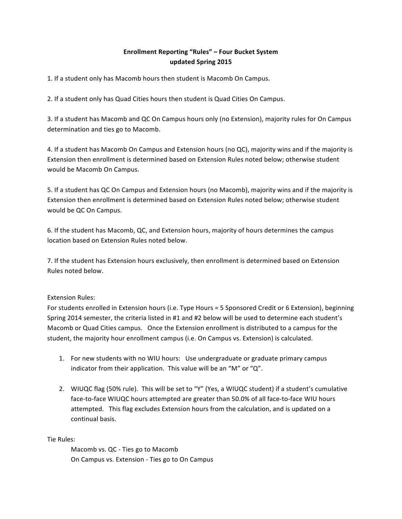#### Enrollment Reporting "Rules" – Four Bucket System **updated)Spring)2015**

1. If a student only has Macomb hours then student is Macomb On Campus.

2. If a student only has Quad Cities hours then student is Quad Cities On Campus.

3. If a student has Macomb and QC On Campus hours only (no Extension), majority rules for On Campus determination and ties go to Macomb.

4. If a student has Macomb On Campus and Extension hours (no QC), majority wins and if the majority is Extension then enrollment is determined based on Extension Rules noted below; otherwise student would be Macomb On Campus.

5. If a student has QC On Campus and Extension hours (no Macomb), majority wins and if the majority is Extension then enrollment is determined based on Extension Rules noted below; otherwise student would be QC On Campus.

6. If the student has Macomb, QC, and Extension hours, majority of hours determines the campus location based on Extension Rules noted below.

7. If the student has Extension hours exclusively, then enrollment is determined based on Extension Rules noted below.

#### Extension Rules:#

For students enrolled in Extension hours (i.e. Type Hours = 5 Sponsored Credit or 6 Extension), beginning Spring 2014 semester, the criteria listed in #1 and #2 below will be used to determine each student's Macomb or Quad Cities campus. Once the Extension enrollment is distributed to a campus for the student, the majority hour enrollment campus (i.e. On Campus vs. Extension) is calculated.

- 1. For new students with no WIU hours: Use undergraduate or graduate primary campus indicator from their application. This value will be an "M" or " $Q$ ".
- 2. WIUQC flag (50% rule). This will be set to "Y" (Yes, a WIUQC student) if a student's cumulative face-to-face WIUQC hours attempted are greater than 50.0% of all face-to-face WIU hours attempted. This flag excludes Extension hours from the calculation, and is updated on a continual basis.

Tie Rules:

Macomb vs. QC - Ties go to Macomb On Campus vs. Extension - Ties go to On Campus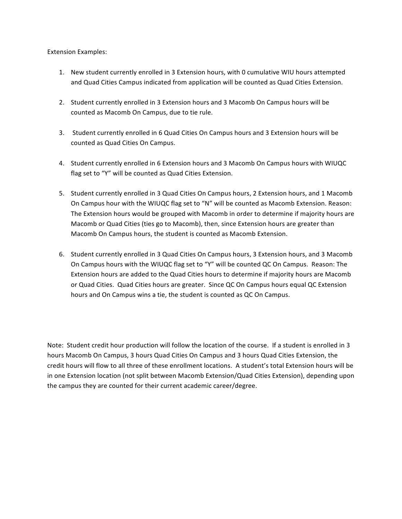#### **Extension Examples:**

- 1. New student currently enrolled in 3 Extension hours, with 0 cumulative WIU hours attempted and Quad Cities Campus indicated from application will be counted as Quad Cities Extension.
- 2. Student currently enrolled in 3 Extension hours and 3 Macomb On Campus hours will be counted as Macomb On Campus, due to tie rule.
- 3. Student currently enrolled in 6 Quad Cities On Campus hours and 3 Extension hours will be counted as Quad Cities On Campus.
- 4. Student currently enrolled in 6 Extension hours and 3 Macomb On Campus hours with WIUQC flag set to "Y" will be counted as Quad Cities Extension.
- 5. Student currently enrolled in 3 Quad Cities On Campus hours, 2 Extension hours, and 1 Macomb On Campus hour with the WIUQC flag set to "N" will be counted as Macomb Extension. Reason: The Extension hours would be grouped with Macomb in order to determine if majority hours are Macomb or Quad Cities (ties go to Macomb), then, since Extension hours are greater than Macomb On Campus hours, the student is counted as Macomb Extension.
- 6. Student currently enrolled in 3 Quad Cities On Campus hours, 3 Extension hours, and 3 Macomb On Campus hours with the WIUQC flag set to "Y" will be counted QC On Campus. Reason: The Extension hours are added to the Quad Cities hours to determine if majority hours are Macomb or Quad Cities. Quad Cities hours are greater. Since QC On Campus hours equal QC Extension hours and On Campus wins a tie, the student is counted as QC On Campus.

Note: Student credit hour production will follow the location of the course. If a student is enrolled in 3 hours Macomb On Campus, 3 hours Quad Cities On Campus and 3 hours Quad Cities Extension, the credit hours will flow to all three of these enrollment locations. A student's total Extension hours will be in one Extension location (not split between Macomb Extension/Quad Cities Extension), depending upon the campus they are counted for their current academic career/degree.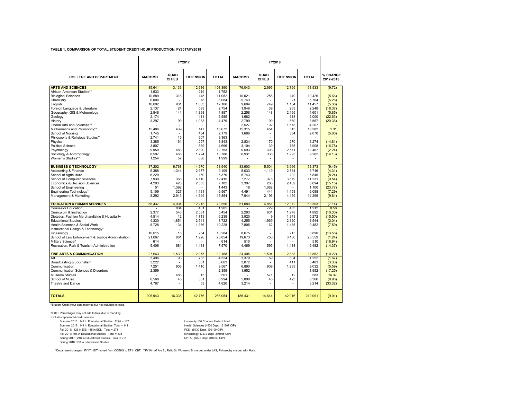#### **TABLE 1. COMPARISON OF TOTAL STUDENT CREDIT HOUR PRODUCTION, FY2017/FY2018**

|                                                    |               |                       | FY2017           |              | FY2018        |                          |                  |              |                       |
|----------------------------------------------------|---------------|-----------------------|------------------|--------------|---------------|--------------------------|------------------|--------------|-----------------------|
| <b>COLLEGE AND DEPARTMENT</b>                      | <b>MACOMB</b> | QUAD<br><b>CITIES</b> | <b>EXTENSION</b> | <b>TOTAL</b> | <b>MACOMB</b> | QUAD<br><b>CITIES</b>    | <b>EXTENSION</b> | <b>TOTAL</b> | % CHANGE<br>2017-2018 |
| <b>ARTS AND SCIENCES</b>                           | 85.641        | 3.133                 | 12,616           | 101.390      | 76.043        | 2.695                    | 12.795           | 91.533       | (9.72)                |
| African-American Studies**                         | 1.533         | $\overline{a}$        | 219              | 1.752        |               |                          |                  |              |                       |
| <b>Biological Sciences</b>                         | 10.589        | 318                   | 145              | 11.052       | 10.021        | 256                      | 149              | 10.426       | (5.66)                |
| Chemistry                                          | 6.006         | $\sim$                | 78               | 6.084        | 5.743         | $\overline{a}$           | 21               | 5.764        | (5.26)                |
| English                                            | 10.092        | 931                   | 1.083            | 12.106       | 9.604         | 749                      | 1.104            | 11,457       | (5.36)                |
| Foreign Language & Literature                      | 2.137         | 24                    | 593              | 2.754        | 1,946         | 39                       | 263              | 2.248        | (18.37)               |
| Geography, GIS & Meteorology                       | 2.848         | 141                   | 1,898            | 4,887        | 2,258         | 148                      | 2.195            | 4,601        | (5.85)                |
| Geology                                            | 2.174         |                       | 411              | 2.585        | 1.682         |                          | 318              | 2.000        | (22.63)               |
| History                                            | 3.297         | 99                    | 1,083            | 4,479        | 2.799         | 99                       | 669              | 3.567        | (20.36)               |
| Liberal Arts and Sciences**                        |               | ÷,                    |                  |              | 2.527         | 102                      | 1.578            | 4.207        |                       |
| Mathematics and Philosophy**                       | 15.486        | 439                   | 147              | 16.072       | 15.315        | 454                      | 513              | 16,282       | 1.31                  |
| School of Nursing                                  | 1.745         | $\overline{a}$        | 434              | 2.179        | 1.686         | ÷,                       | 384              | 2,070        | (5.00)                |
| Philosophy & Religious Studies**                   | 2.741         | 15                    | 607              | 3.363        |               |                          |                  |              |                       |
| Physics                                            | 3.385         | 161                   | 297              | 3,843        | 2.834         | 170                      | 270              | 3.274        | (14.81)               |
| <b>Political Science</b>                           | 3.807         | $\overline{a}$        | 889              | 4.696        | 3.104         | 39                       | 765              | 3.908        | (16.78)               |
| Psychology                                         | 9.950         | 483                   | 2.320            | 12.753       | 9.593         | 303                      | 2.571            | 12.467       | (2.24)                |
| Sociology & Anthropology                           | 8.597         | 465                   | 1.724            | 10.786       | 6,931         | 336                      | 1.995            | 9.262        | (14.13)               |
| Women's Studies**                                  | 1,254         | 57                    | 688              | 1,999        |               |                          |                  |              |                       |
| <b>BUSINESS &amp; TECHNOLOGY</b>                   | 37,202        | 6,768                 | 14,970           | 58,940       | 33,903        | 5.504                    | 13,966           | 53,373       | (9.45)                |
| Accounting & Finance                               | 5,388         | 1,344                 | 2.377            | 9.109        | 5.033         | 1.119                    | 2.564            | 8,716        | (4.31)                |
| School of Agriculture                              | 6.220         |                       | 150              | 6,370        | 5,743         |                          | 102              | 5,845        | (8.24)                |
| <b>School of Computer Sciences</b>                 | 7.939         | 366                   | 4.110            | 12.415       | 7.277         | 375                      | 3.579            | 11.231       | (9.54)                |
| Economics & Decision Sciences                      | 4.203         | 426                   | 2,553            | 7.182        | 3.397         | 288                      | 2.409            | 6.094        | (15.15)               |
| School of Engineering                              | 51            | 1.392                 |                  | 1.443        | 18            | 1.082                    |                  | 1.100        | (23.77)               |
| Engineering Technology*                            | 5.109         | 327                   | 1,131            | 6,567        | 4,491         | 444                      | 1.153            | 6,088        | (7.29)                |
| Management & Marketing                             | 8,292         | 2,913                 | 4,649            | 15,854       | 7,944         | 2,196                    | 4,159            | 14,299       | (9.81)                |
| <b>EDUCATION &amp; HUMAN SERVICES</b>              | 56,437        | 4.904                 | 12,215           | 73,556       | 51.080        | 4.851                    | 12,372           | 68.303       | (7.14)                |
| <b>Counselor Education</b>                         |               | 804                   | 401              | 1,205        |               | 729                      | 483              | 1.212        | 0.58                  |
| Curriculum & Instruction                           | 2.377         | 546                   | 2,531            | 5,454        | 2.283         | 631                      | 1,978            | 4.892        | (10.30)               |
| Dietetics, Fashion Merchandising & Hospitality     | 4.514         | 12                    | 1.713            | 6.239        | 3.920         | 9                        | 1.343            | 5.272        | (15.50)               |
| <b>Educational Studies</b>                         | 4.330         | 1.851                 | 2,541            | 8.722        | 4,255         | 1.969                    | 2.320            | 8.544        | (2.04)                |
| Health Sciences & Social Work                      | 8,728         | 134                   | 1,366            | 10,228       | 7,805         | 162                      | 1,485            | 9,452        | (7.59)                |
| Instructional Design & Technology*                 |               | $\overline{a}$        |                  |              |               | ÷,                       | $\overline{a}$   |              |                       |
| Kinesiology                                        | 10.015        | 15                    | 254              | 10,284       | 8,675         |                          | 215              | 8,890        | (13.56)               |
| School of Law Enforcement & Justice Administration | 21.067        | 861                   | 1.926            | 23.854       | 19.673        | 756                      | 3.130            | 23.559       | (1.24)                |
| Military Science <sup>^</sup>                      | 614           |                       |                  | 614          | 510           |                          |                  | 510          | (16.94)               |
| Recreation, Park & Tourism Administration          | 5,406         | 681                   | 1,483            | 7,570        | 4,469         | 595                      | 1,418            | 6,482        | (14.37)               |
| <b>FINE ARTS &amp; COMMUNICATION</b>               | 27,663        | 1,530                 | 2,975            | 32,168       | 24,405        | 1,594                    | 2,883            | 28,882       | (10.22)               |
| Art                                                | 3,496         | 93                    | 735              | 4,324        | 3,379         | 69                       | 804              | 4,252        | (1.67)                |
| Broadcasting & Journalism                          | 3,222         | $\overline{a}$        | 381              | 3,603        | 3,072         | $\overline{a}$           | 411              | 3,483        | (3.33)                |
| Communication                                      | 7.251         | 906                   | 1,410            | 9.567        | 6,890         | 909                      | 1,233            | 9.032        | (5.59)                |
| Communication Sciences & Disorders                 | 2.359         |                       |                  | 2,359        | 1,952         | $\overline{\phantom{a}}$ |                  | 1.952        | (17.25)               |
| <b>Museum Studies</b>                              |               | 486                   | 15               | 501          |               | 571                      | 12               | 583          | 16.37                 |
| School of Music                                    | 6,568         | 45                    | 381              | 6,994        | 5,898         | 45                       | 423              | 6,366        | (8.98)                |
| Theatre and Dance                                  | 4,767         |                       | 53               | 4,820        | 3,214         |                          |                  | 3,214        | (33.32)               |
| <b>TOTALS</b>                                      | 206.943       | 16,335                | 42.776           | 266.054      | 185.431       | 14.644                   | 42.016           | 242.091      | (9.01)                |

^Student Credit Hour data reported but not included in totals.

NOTE: Percentages may not add to total due to rounding. Excludes Sponsored credit courses: Summer 2016: 147 in Educational Studies. Total = 147<br>Summer 2017: 141 in Educational Studies: Total = 141<br>Fall 2016: 126 in ElS; 145 in EDL. Total = 271<br>Fall 2017: 108 in Educational Studies. Total = 271<br>Spring 2017: 218 i Spring 2017: 218 in Educational Studies. Total = 218<br>Spring 2018: 108 in Educational Studies

\*Department changes: FY17 - IDT moved from COEHS to ET in CBT. \*\*FY18 - Af Am St, Relig St, Women's St merged under LAS; Philosophy merged with Math.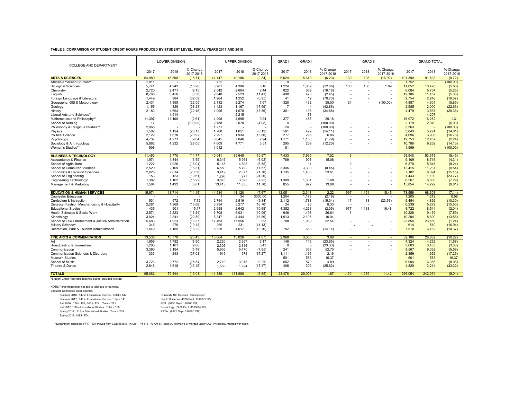#### **TABLE 2. COMPARISON OF STUDENT CREDIT HOURS PRODUCED BY STUDENT LEVEL, FISCAL YEARS 2017 AND 2018**

|                                                    |        | LOWER DIVISION |                       |         | <b>UPPER DIVISION</b>    |                       | <b>GRAD</b>    | <b>GRAD</b>    |                       |        | <b>GRAD II</b> |                          |         | <b>GRAND TOTAL</b> |                       |
|----------------------------------------------------|--------|----------------|-----------------------|---------|--------------------------|-----------------------|----------------|----------------|-----------------------|--------|----------------|--------------------------|---------|--------------------|-----------------------|
| COLLEGE AND DEPARTMENT                             | 2017   | 2018           | % Change<br>2017-2018 | 2017    | 2018                     | % Change<br>2017-2018 | 2017           | 2018           | % Change<br>2017-2018 | 2017   | 2018           | % Change<br>2017-2018    | 2017    | 2018               | % Change<br>2017-2018 |
| <b>ARTS &amp; SCIENCES</b>                         | 54.089 | 45,590         | (15.71)               | 41.147  | 40.186                   | (2.34)                | 6,024          | 5.649          | (6.23)                | 130    | 108            | (16.92)                  | 101.390 | 91,533             | (9.72)                |
| African-American Studies**                         | 1.011  |                |                       | 732     | $\overline{\phantom{a}}$ |                       | 9              |                |                       |        | $\overline{a}$ |                          | 1,752   |                    | (100.00)              |
| <b>Biological Sciences</b>                         | 5,741  | 4,943          | (13.90)               | 3,981   | 4,306                    | 8.16                  | 1,224          | 1.069          | (12.66)               | 106    | 108            | 1.89                     | 11,052  | 10,426             | (5.66)                |
| Chemistry                                          | 2.720  | 2.471          | (9.15)                | 2.542   | 2.604                    | 2.44                  | 822            | 689            | (16.18)               |        |                |                          | 6.084   | 5.764              | (5.26)                |
| English                                            | 8.768  | 8,456          | (3.56)                | 2.848   | 2,523                    | (11.41)               | 490            | 478            | (2.45)                | $\sim$ |                |                          | 12.106  | 11.457             | (5.36)                |
| Foreign Language & Literature                      | 1,449  | 984            | (32.09)               | 1,264   | 1,252                    | (0.95)                | 41             | 12             | (70.73)               |        |                |                          | 2,754   | 2,248              | (18.37)               |
| Geography, GIS & Meteorology                       | 2.431  | 1,895          | (22.05)               | 2.112   | 2.274                    | 7.67                  | 320            | 432            | 35.00                 | 24     |                | (100.00)                 | 4.887   | 4,601              | (5.85)                |
| Geology                                            | 1.155  | 829            | (28.23)               | 1.423   | 1,167                    | (17.99)               | $\overline{7}$ | $\overline{4}$ | (42.86)               |        |                |                          | 2.585   | 2.000              | (22.63)               |
| History                                            | 2,183  | 1,693          | (22.45)               | 1,995   | 1,678                    | (15.89)               | 301            | 196            | (34.88)               |        |                |                          | 4,479   | 3,567              | (20.36)               |
| Liberal Arts and Sciences**                        |        | 1.914          |                       |         | 2.215                    |                       |                | 78             |                       |        |                | $\sim$                   |         | 4.207              |                       |
| Mathematics and Philosophy**                       | 11,397 | 11,100         | (2.61)                | 4,298   | 4,695                    | 9.24                  | 377            | 487            | 29.18                 |        |                |                          | 16.072  | 16.282             | 1.31                  |
| School of Nursing                                  | 17     |                | (100.00)              | 2,158   | 2,070                    | (4.08)                | $\overline{4}$ |                | (100.00)              |        |                |                          | 2,179   | 2,070              | (5.00)                |
| Philosophy & Religious Studies**                   | 2.068  |                |                       | 1.271   | $\overline{\phantom{a}}$ |                       | 24             | $\sim$         | (100.00)              |        |                |                          | 3.363   |                    | (100.00)              |
| Physics                                            | 1,502  | 1.124          | (25.17)               | 1,760   | 1,651                    | (6.19)                | 581            | 499            | (14.11)               |        |                | $\sim$                   | 3.843   | 3,274              | (14.81)               |
| <b>Political Science</b>                           | 2,122  | 1.678          | (20.92)               | 2,297   | 1,934                    | (15.80)               | 277            | 296            | 6.86                  |        |                |                          | 4,696   | 3.908              | (16.78)               |
| Psychology                                         | 4,737  | 4.271          | (9.84)                | 6.845   | 7.046                    | 2.94                  | 1.171          | 1.150          | (1.79)                |        |                |                          | 12.753  | 12.467             | (2.24)                |
| Sociology & Anthropology                           | 5,882  | 4,232          | (28.05)               | 4,609   | 4,771                    | 3.51                  | 295            | 259            | (12.20)               |        |                | $\overline{\phantom{a}}$ | 10,786  | 9,262              | (14.13)               |
| Women's Studies**                                  | 906    |                |                       | 1.012   |                          |                       | 81             |                |                       |        |                |                          | 1.999   |                    | (100.00)              |
|                                                    |        |                |                       |         |                          |                       |                |                |                       |        |                |                          |         |                    |                       |
| <b>BUSINESS &amp; TECHNOLOGY</b>                   | 11.463 | 9.770          | (14.77)               | 40.041  | 35.648                   | (10.97)               | 7.433          | 7.955          | 7.02                  | 3      |                | $\sim$                   | 58,940  | 53.373             | (9.45)                |
| Accountancy & Finance                              | 1,974  | 1.844          | (6.59)                | 6.346   | 5.964                    | (6.02)                | 789            | 908            | 15.08                 |        |                | $\sim$                   | 9.109   | 8,716              | (4.31)                |
| School of Agriculture                              | 1.222  | 1.026          | (16.04)               | 5.145   | 4.808                    | (6.55)                |                | 11             | $\sim$                | 3      |                | $\sim$                   | 6.370   | 5,845              | (8.24)                |
| School of Computer Sciences                        | 2,520  | 2.109          | (16.31)               | 6.550   | 5,792                    | (11.57)               | 3,345          | 3,330          | (0.45)                |        |                |                          | 12.415  | 11,231             | (9.54)                |
| Economics & Decision Sciences                      | 2,628  | 2,014          | (23.36)               | 3.419   | 2.677                    | (21.70)               | 1,135          | 1,403          | 23.61                 |        |                | $\overline{\phantom{a}}$ | 7,182   | 6,094              | (15.15)               |
| School of Engineering                              | 153    | 123            | (19.61)               | 1.290   | 977                      | (24.26)               | $\overline{a}$ |                |                       |        |                |                          | 1.443   | 1.100              | (23.77)               |
| Engineering Technology*                            | 1,382  | 1,162          | (15.92)               | 3.876   | 3,595                    | (7.25)                | 1,309          | 1,331          | 1.68                  |        |                |                          | 6.567   | 6.088              | (7.29)                |
| Management & Marketing                             | 1,584  | 1.492          | (5.81)                | 13.415  | 11,835                   | (11.78)               | 855            | 972            | 13.68                 |        |                |                          | 15,854  | 14,299             | (9.81)                |
|                                                    |        |                |                       |         |                          |                       |                |                |                       |        |                |                          |         |                    |                       |
| <b>EDUCATION &amp; HUMAN SERVICES</b>              | 15,974 | 13,714         | (14.15)               | 44,534  | 41.120                   | (7.67)                | 12.051         | 12.318         | 2.22                  | 997    | 1.151          | 15.45                    | 73.556  | 68.303             | (7.14)                |
| <b>Counselor Education</b>                         |        |                |                       | -1      | 34                       | 3300.00               | 1.204          | 1.178          | (2.16)                |        |                |                          | 1.205   | 1.212              | 0.58                  |
| Curriculum & Instruction                           | 531    | 572            | 7.72                  | 2.794   | 2.519                    | (9.84)                | 2.112          | 1.788          | (15.34)               | 17     | 13             | (23.53)                  | 5.454   | 4.892              | (10.30)               |
| Dietetics, Fashion Merchandising & Hospitality     | 2.281  | 1.969          | (13.68)               | 3,934   | 3.277                    | (16.70)               | 24             | 26             | 8.33                  |        |                |                          | 6,239   | 5.272              | (15.50)               |
| <b>Educational Studies</b>                         | 435    | 501            | 15.17                 | 2,958   | 2,642                    | (10.68)               | 4,352          | 4,263          | (2.05)                | 977    | 1,138          | 16.48                    | 8,722   | 8,544              | (2.04)                |
| Health Sciences & Social Work                      | 2,571  | 2.223          | (13.54)               | 6,708   | 6,031                    | (10.09)               | 946            | 1.198          | 26.64                 | 3      |                |                          | 10.228  | 9.452              | (7.59)                |
| Kinesiology                                        | 3,024  | 2.341          | (22.59)               | 5.347   | 4.444                    | (16.89)               | 1,913          | 2.105          | 10.04                 |        |                |                          | 10.284  | 8.890              | (13.56)               |
| School of Law Enforcement & Justice Administration | 5,683  | 4,923          | (13.37)               | 17,463  | 17,556                   | 0.53                  | 708            | 1,080          | 52.54                 |        |                | $\overline{\phantom{a}}$ | 23,854  | 23,559             | (1.24)                |
| Military Science <sup>®</sup>                      | 345    | 279            | (19.13)               | 269     | 231                      | (14.13)               |                |                |                       |        |                |                          | 614     | 510                | (16.94)               |
| Recreation, Park & Tourism Administration          | 1.449  | 1.185          | (18.22)               | 5.329   | 4,617                    | (13.36)               | 792            | 680            | (14.14)               |        |                |                          | 7.570   | 6.482              | (14.37)               |
| <b>FINE ARTS &amp; COMMUNICATION</b>               | 13.536 | 10.770         | (20.43)               | 15.664  | 15,026                   | (4.07)                | 2,968          | 3.086          | 3.98                  |        |                |                          | 32,168  | 28,882             | (10.22)               |
| Art                                                | 1,956  | 1,782          | (8.90)                | 2,220   | 2,357                    | 6.17                  | 148            | 113            | (23.65)               |        |                | $\sim$                   | 4,324   | 4,252              | (1.67)                |
| Broadcasting & Journalism                          | 1.288  | 1.161          | (9.86)                | 2.306   | 2.316                    | 0.43                  | 9              | 6              | (33.33)               |        |                |                          | 3.603   | 3.483              | (3.33)                |
| Communication                                      | 3.390  | 3.194          | (5.78)                | 5.936   | 5.470                    | (7.85)                | 241            | 368            | 52.70                 |        |                |                          | 9.567   | 9.032              | (5.59)                |
| Communication Sciences & Disorders                 | 333    | 243            | (27.03)               | 915     | 574                      | (37.27)               | 1,111          | 1.135          | 2.16                  |        |                |                          | 2,359   | 1.952              | (17.25)               |
| <b>Museum Studies</b>                              |        |                |                       |         |                          |                       | 501            | 583            | 16.37                 |        |                |                          | 501     | 583                | 16.37                 |
| School of Music                                    | 3.723  | 2.772          | (25.54)               | 2.719   | 3,015                    | 10.89                 | 552            | 579            | 4.89                  |        |                |                          | 6.994   | 6,366              | (8.98)                |
| Theatre & Dance                                    | 2.846  | 1,618          | (43.15)               | 1.568   | 1.294                    | (17.47)               | 406            | 302            | (25.62)               |        |                |                          | 4,820   | 3.214              | (33.32)               |
|                                                    |        |                |                       |         |                          |                       |                |                |                       |        |                |                          |         |                    |                       |
| <b>TOTALS</b>                                      | 95.062 | 79,844         | (16.01)               | 141,386 | 131.980                  | (6.65)                | 28,476         | 29,008         | 1.87                  | .130   | 1.259          | 11.42                    | 266.054 | 242.091            | (9.01)                |

^Student Credit Hour data reported but not included in totals.

NOTE: Percentages may not add to total due to rounding.

Excludes Sponsored credit courses:

Summer 2016: 147 in Educational Studies. Total = 147 University 100 Courses Redisciplined:<br>Summer 2017: 141 in Educational Studies; Total = 141 Hall Health Sciences (4520 Dept, 131307 CIP)<br>Fall 2016: 126 in Els; 145 in EDL Spring 2018: 108 in EDL

\*Department changes: FY17 - IDT moved from COEHS to ET in CBT. \*\*FY18 - Af Am St, Relig St, Women's St merged under LAS; Philosophy merged with Math.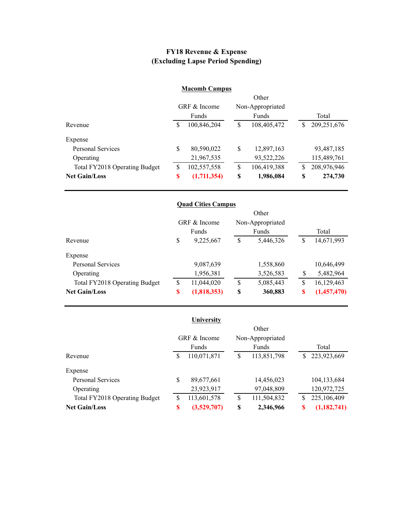### **FY18 Revenue & Expense (Excluding Lapse Period Spending)**

#### **Macomb Campus**

|                               |              |              |    | Other            |    |             |
|-------------------------------|--------------|--------------|----|------------------|----|-------------|
|                               |              | GRF & Income |    | Non-Appropriated |    |             |
|                               |              | Funds        |    | Funds            |    | Total       |
| Revenue                       | <sup>S</sup> | 100,846,204  | \$ | 108,405,472      | S  | 209,251,676 |
| Expense                       |              |              |    |                  |    |             |
| <b>Personal Services</b>      | \$           | 80,590,022   | \$ | 12,897,163       |    | 93,487,185  |
| Operating                     |              | 21,967,535   |    | 93,522,226       |    | 115,489,761 |
| Total FY2018 Operating Budget | S            | 102,557,558  | \$ | 106,419,388      | S  | 208,976,946 |
| <b>Net Gain/Loss</b>          | S            | (1,711,354)  | S  | 1,986,084        | \$ | 274,730     |

|                               |              | <b>Quad Cities Campus</b> |                  |    |             |
|-------------------------------|--------------|---------------------------|------------------|----|-------------|
|                               |              |                           | Other            |    |             |
|                               | GRF & Income |                           | Non-Appropriated |    |             |
|                               |              | Funds                     | Funds            |    | Total       |
| Revenue                       | \$           | 9,225,667                 | \$<br>5,446,326  | S  | 14,671,993  |
| Expense                       |              |                           |                  |    |             |
| <b>Personal Services</b>      |              | 9,087,639                 | 1,558,860        |    | 10,646,499  |
| Operating                     |              | 1,956,381                 | 3,526,583        | S  | 5,482,964   |
| Total FY2018 Operating Budget | S            | 11,044,020                | \$<br>5,085,443  | \$ | 16,129,463  |
| <b>Net Gain/Loss</b>          | S            | (1,818,353)               | \$<br>360,883    | S  | (1,457,470) |

|                               |    | University   |                   |              |               |  |
|-------------------------------|----|--------------|-------------------|--------------|---------------|--|
|                               |    |              |                   |              |               |  |
|                               |    | GRF & Income | Non-Appropriated  |              |               |  |
|                               |    | Funds        | Funds             | Total        |               |  |
| Revenue                       | \$ | 110,071,871  | \$<br>113,851,798 | <sup>S</sup> | 223,923,669   |  |
| Expense                       |    |              |                   |              |               |  |
| <b>Personal Services</b>      | \$ | 89,677,661   | 14,456,023        |              | 104, 133, 684 |  |
| Operating                     |    | 23,923,917   | 97,048,809        |              | 120,972,725   |  |
| Total FY2018 Operating Budget | S  | 113,601,578  | \$<br>111,504,832 | S            | 225,106,409   |  |
| <b>Net Gain/Loss</b>          | \$ | (3,529,707)  | \$<br>2,346,966   | S            | (1, 182, 741) |  |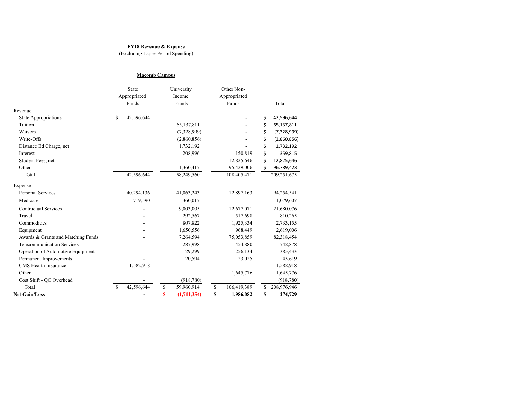#### **FY18 Revenue & Expense**

(Excluding Lapse-Period Spending)

#### **Macomb Campus**

|                                    | State         |              | University        |    | Other Non-   |    |             |
|------------------------------------|---------------|--------------|-------------------|----|--------------|----|-------------|
|                                    |               | Appropriated | Income            |    | Appropriated |    |             |
|                                    |               | Funds        | Funds             |    | Funds        |    | Total       |
| Revenue                            |               |              |                   |    |              |    |             |
| <b>State Appropriations</b>        | \$            | 42,596,644   |                   |    |              | \$ | 42,596,644  |
| Tuition                            |               |              | 65,137,811        |    |              | \$ | 65,137,811  |
| Waivers                            |               |              | (7,328,999)       |    |              | \$ | (7,328,999) |
| Write-Offs                         |               |              | (2,860,856)       |    |              | \$ | (2,860,856) |
| Distance Ed Charge, net            |               |              | 1,732,192         |    |              | \$ | 1,732,192   |
| Interest                           |               |              | 208,996           |    | 150,819      | \$ | 359,815     |
| Student Fees, net                  |               |              |                   |    | 12,825,646   | \$ | 12,825,646  |
| Other                              |               |              | 1,360,417         |    | 95,429,006   | \$ | 96,789,423  |
| Total                              |               | 42,596,644   | 58,249,560        |    | 108,405,471  |    | 209,251,675 |
| Expense                            |               |              |                   |    |              |    |             |
| <b>Personal Services</b>           |               | 40,294,136   | 41,063,243        |    | 12,897,163   |    | 94,254,541  |
| Medicare                           |               | 719,590      | 360,017           |    |              |    | 1,079,607   |
| <b>Contractual Services</b>        |               |              | 9,003,005         |    | 12,677,071   |    | 21,680,076  |
| Travel                             |               |              | 292,567           |    | 517,698      |    | 810,265     |
| Commodities                        |               |              | 807,822           |    | 1,925,334    |    | 2,733,155   |
| Equipment                          |               |              | 1,650,556         |    | 968,449      |    | 2,619,006   |
| Awards & Grants and Matching Funds |               |              | 7,264,594         |    | 75,053,859   |    | 82,318,454  |
| <b>Telecommunication Services</b>  |               |              | 287,998           |    | 454,880      |    | 742,878     |
| Operation of Automotive Equipment  |               |              | 129,299           |    | 256,134      |    | 385,433     |
| Permanent Improvements             |               |              | 20,594            |    | 23,025       |    | 43,619      |
| <b>CMS</b> Health Insurance        |               | 1,582,918    |                   |    |              |    | 1,582,918   |
| Other                              |               |              |                   |    | 1,645,776    |    | 1,645,776   |
| Cost Shift - QC Overhead           |               |              | (918, 780)        |    |              |    | (918, 780)  |
| Total                              | <sup>\$</sup> | 42,596,644   | \$<br>59,960,914  | \$ | 106,419,389  | \$ | 208,976,946 |
| <b>Net Gain/Loss</b>               |               |              | \$<br>(1,711,354) | S  | 1,986,082    | \$ | 274,729     |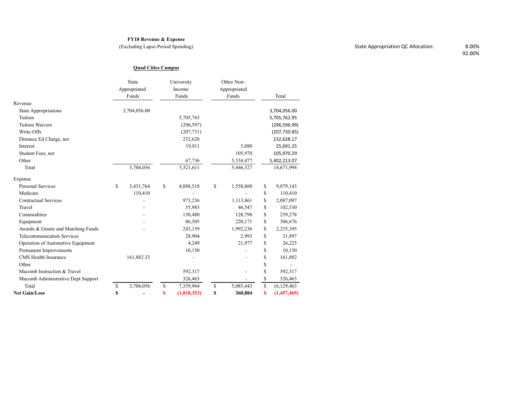#### **FY18 Revenue & Expense**

(Excluding Lapse-Period Spending)

#### **Quad Cities Campus**

|                                    | State<br>Appropriated<br>Funds | University<br>Income<br>Funds | Other Non-<br>Appropriated<br>Funds | Total             |
|------------------------------------|--------------------------------|-------------------------------|-------------------------------------|-------------------|
| Revenue                            |                                |                               |                                     |                   |
| <b>State Appropriations</b>        | 3,704,056.00                   |                               |                                     | 3,704,056.00      |
| Tuition                            |                                | 5,705,763                     |                                     | 5,705,762.95      |
| <b>Tuition Waivers</b>             |                                | (296, 597)                    |                                     | (296, 596.99)     |
| Write-Offs                         |                                | (207, 731)                    |                                     | (207, 730.85)     |
| Distance Ed Charge, net            |                                | 232,628                       |                                     | 232,628.17        |
| Interest                           |                                | 19,811                        | 5,880                               | 25,691.25         |
| Student Fees, net                  |                                |                               | 105,970                             | 105,970.29        |
| Other                              |                                | 67,736                        | 5,334,477                           | 5,402,213.07      |
| Total                              | 3,704,056                      | 5,521,611                     | 5,446,327                           | 14,671,994        |
| Expense                            |                                |                               |                                     |                   |
| <b>Personal Services</b>           | \$<br>3,431,764                | \$<br>4,888,518               | \$<br>1,558,860                     | \$<br>9,879,143   |
| Medicare                           | 110,410                        |                               |                                     | \$<br>110,410     |
| <b>Contractual Services</b>        |                                | 973,236                       | 1,113,861                           | \$<br>2,087,097   |
| Travel                             |                                | 55,983                        | 46,547                              | \$<br>102,530     |
| Commodities                        |                                | 130,480                       | 128,798                             | \$<br>259,278     |
| Equipment                          |                                | 86,505                        | 220,171                             | \$<br>306,676     |
| Awards & Grants and Matching Funds |                                | 243,159                       | 1,992,236                           | \$<br>2,235,395   |
| <b>Telecommunication Services</b>  |                                | 28,904                        | 2,993                               | \$<br>31,897      |
| Operation of Automotive Equipment  |                                | 4,249                         | 21,977                              | \$<br>26,225      |
| Permanent Improvements             |                                | 10,150                        |                                     | \$<br>10,150      |
| <b>CMS</b> Health Insurance        | 161,882.33                     |                               |                                     | \$<br>161,882     |
| Other                              |                                |                               |                                     | \$                |
| Macomb Instruction & Travel        |                                | 592,317                       |                                     | \$<br>592,317     |
| Macomb Administrative Dept Support |                                | 326,463                       |                                     | \$<br>326,463     |
| Total                              | \$<br>3,704,056                | \$<br>7,339,964               | \$<br>5,085,443                     | \$<br>16,129,463  |
| <b>Net Gain/Loss</b>               | \$                             | \$<br>(1,818,353)             | \$<br>360,884                       | \$<br>(1,457,469) |

92.00%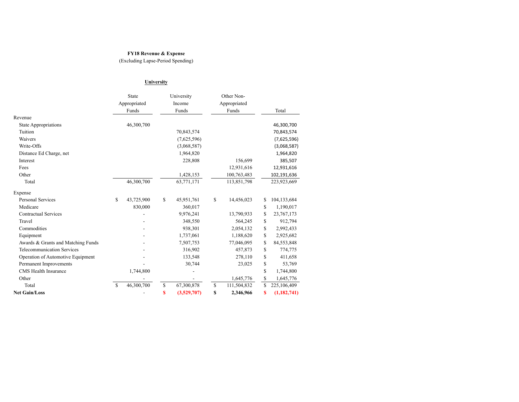#### **FY18 Revenue & Expense**

(Excluding Lapse-Period Spending)

#### **University**

|                                    | State            |             | University  |    | Other Non-   |                     |
|------------------------------------|------------------|-------------|-------------|----|--------------|---------------------|
|                                    | Appropriated     |             | Income      |    | Appropriated |                     |
|                                    | Funds            |             | Funds       |    | Funds        | Total               |
| Revenue                            |                  |             |             |    |              |                     |
| <b>State Appropriations</b>        | 46,300,700       |             |             |    |              | 46,300,700          |
| Tuition                            |                  |             | 70,843,574  |    |              | 70,843,574          |
| Waivers                            |                  |             | (7,625,596) |    |              | (7,625,596)         |
| Write-Offs                         |                  |             | (3,068,587) |    |              | (3,068,587)         |
| Distance Ed Charge, net            |                  |             | 1,964,820   |    |              | 1,964,820           |
| Interest                           |                  |             | 228,808     |    | 156,699      | 385,507             |
| Fees                               |                  |             |             |    | 12,931,616   | 12,931,616          |
| Other                              |                  |             | 1,428,153   |    | 100,763,483  | 102,191,636         |
| Total                              | 46,300,700       |             | 63,771,171  |    | 113,851,798  | 223,923,669         |
| Expense                            |                  |             |             |    |              |                     |
| <b>Personal Services</b>           | \$<br>43,725,900 | \$          | 45,951,761  | \$ | 14,456,023   | \$<br>104,133,684   |
| Medicare                           | 830,000          |             | 360,017     |    |              | \$<br>1,190,017     |
| <b>Contractual Services</b>        |                  |             | 9,976,241   |    | 13,790,933   | \$<br>23,767,173    |
| Travel                             |                  |             | 348,550     |    | 564,245      | \$<br>912,794       |
| Commodities                        |                  |             | 938,301     |    | 2,054,132    | \$<br>2,992,433     |
| Equipment                          |                  |             | 1,737,061   |    | 1,188,620    | \$<br>2,925,682     |
| Awards & Grants and Matching Funds |                  |             | 7,507,753   |    | 77,046,095   | \$<br>84,553,848    |
| <b>Telecommunication Services</b>  |                  |             | 316,902     |    | 457,873      | \$<br>774,775       |
| Operation of Automotive Equipment  |                  |             | 133,548     |    | 278,110      | \$<br>411,658       |
| Permanent Improvements             |                  |             | 30,744      |    | 23,025       | \$<br>53,769        |
| <b>CMS</b> Health Insurance        | 1,744,800        |             |             |    |              | \$<br>1,744,800     |
| Other                              |                  |             |             |    | 1,645,776    | \$<br>1,645,776     |
| Total                              | \$<br>46,300,700 | $\mathbf S$ | 67,300,878  | \$ | 111,504,832  | \$<br>225,106,409   |
| <b>Net Gain/Loss</b>               |                  | \$          | (3,529,707) | \$ | 2,346,966    | \$<br>(1, 182, 741) |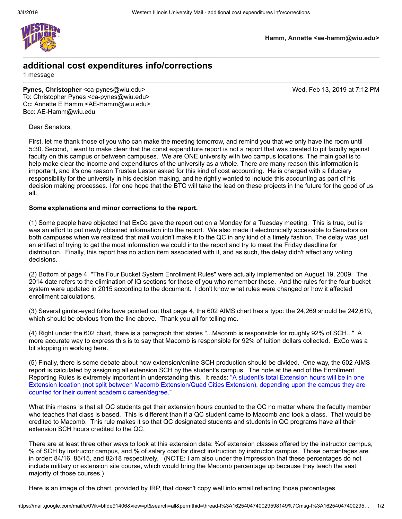

**Hamm, Annette <ae-hamm@wiu.edu>**

#### **additional cost expenditures info/corrections**

1 message

**Pynes, Christopher** <ca-pynes@wiu.edu> Wed, Feb 13, 2019 at 7:12 PM To: Christopher Pynes <ca-pynes@wiu.edu> Cc: Annette E Hamm <AE-Hamm@wiu.edu> Bcc: AE-Hamm@wiu.edu

Dear Senators,

First, let me thank those of you who can make the meeting tomorrow, and remind you that we only have the room until 5:30. Second, I want to make clear that the const expenditure report is not a report that was created to pit faculty against faculty on this campus or between campuses. We are ONE university with two campus locations. The main goal is to help make clear the income and expenditures of the university as a whole. There are many reason this information is important, and it's one reason Trustee Lester asked for this kind of cost accounting. He is charged with a fiduciary responsibility for the university in his decision making, and he rightly wanted to include this accounting as part of his decision making processes. I for one hope that the BTC will take the lead on these projects in the future for the good of us all.

#### **Some explanations and minor corrections to the report.**

(1) Some people have objected that ExCo gave the report out on a Monday for a Tuesday meeting. This is true, but is was an effort to put newly obtained information into the report. We also made it electronically accessible to Senators on both campuses when we realized that mail wouldn't make it to the QC in any kind of a timely fashion. The delay was just an artifact of trying to get the most information we could into the report and try to meet the Friday deadline for distribution. Finally, this report has no action item associated with it, and as such, the delay didn't affect any voting decisions.

(2) Bottom of page 4. "The Four Bucket System Enrollment Rules" were actually implemented on August 19, 2009. The 2014 date refers to the elimination of IQ sections for those of you who remember those. And the rules for the four bucket system were updated in 2015 according to the document. I don't know what rules were changed or how it affected enrollment calculations.

(3) Several gimlet-eyed folks have pointed out that page 4, the 602 AIMS chart has a typo: the 24,269 should be 242,619, which should be obvious from the line above. Thank you all for telling me.

(4) Right under the 602 chart, there is a paragraph that states "...Macomb is responsible for roughly 92% of SCH..." A more accurate way to express this is to say that Macomb is responsible for 92% of tuition dollars collected. ExCo was a bit slopping in working here.

(5) Finally, there is some debate about how extension/online SCH production should be divided. One way, the 602 AIMS report is calculated by assigning all extension SCH by the student's campus. The note at the end of the Enrollment Reporting Rules is extremely important in understanding this. It reads: "A student's total Extension hours will be in one Extension location (not split between Macomb Extension/Quad Cities Extension), depending upon the campus they are counted for their current academic career/degree."

What this means is that all QC students get their extension hours counted to the QC no matter where the faculty member who teaches that class is based. This is different than if a QC student came to Macomb and took a class. That would be credited to Macomb. This rule makes it so that QC designated students and students in QC programs have all their extension SCH hours credited to the QC.

There are at least three other ways to look at this extension data: %of extension classes offered by the instructor campus, % of SCH by instructor campus, and % of salary cost for direct instruction by instructor campus. Those percentages are in order: 84/16, 85/15, and 82/18 respectively. (NOTE: I am also under the impression that these percentages do not include military or extension site course, which would bring the Macomb percentage up because they teach the vast majority of those courses.)

Here is an image of the chart, provided by IRP, that doesn't copy well into email reflecting those percentages.